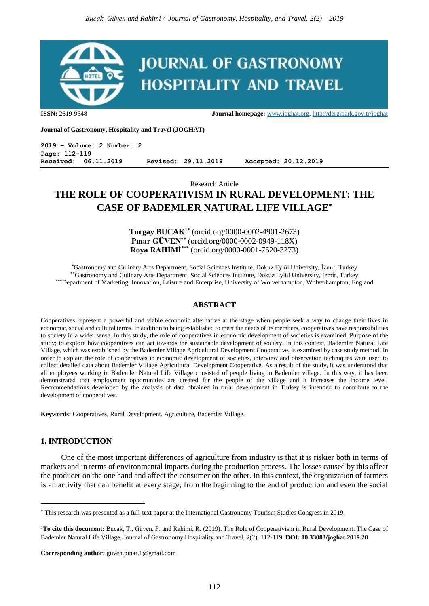

**ISSN:** 2619-9548 **Journal homepage:** [www.joghat.org,](http://www.joghat.org/)<http://dergipark.gov.tr/joghat>

**Journal of Gastronomy, Hospitality and Travel (JOGHAT)**

**2019 – Volume: 2 Number: 2 Page: 112-119 Received: 06.11.2019 Revised: 29.11.2019 Accepted: 20.12.2019**

Research Article

# **THE ROLE OF COOPERATIVISM IN RURAL DEVELOPMENT: THE CASE OF BADEMLER NATURAL LIFE VILLAGE**

**Turgay BUCAK1\*** (orcid.org/0000-0002-4901-2673) **Pınar GÜVEN\*\*** (orcid.org/0000-0002-0949-118X) **Roya RAHİMİ\*\*\*** (orcid.org/0000-0001-7520-3273)

**\***Gastronomy and Culinary Arts Department, Social Sciences Institute, Dokuz Eylül University, İzmir, Turkey **\*\***Gastronomy and Culinary Arts Department, Social Sciences Institute, Dokuz Eylül University, İzmir, Turkey **\*\*\***Department of Marketing, Innovation, Leisure and Enterprise, University of Wolverhampton, Wolverhampton, England

#### **ABSTRACT**

Cooperatives represent a powerful and viable economic alternative at the stage when people seek a way to change their lives in economic, social and cultural terms. In addition to being established to meet the needs of its members, cooperatives have responsibilities to society in a wider sense. In this study, the role of cooperatives in economic development of societies is examined. Purpose of the study; to explore how cooperatives can act towards the sustainable development of society. In this context, Bademler Natural Life Village, which was established by the Bademler Village Agricultural Development Cooperative, is examined by case study method. In order to explain the role of cooperatives in economic development of societies, interview and observation techniques were used to collect detailed data about Bademler Village Agricultural Development Cooperative. As a result of the study, it was understood that all employees working in Bademler Natural Life Village consisted of people living in Bademler village. In this way, it has been demonstrated that employment opportunities are created for the people of the village and it increases the income level. Recommendations developed by the analysis of data obtained in rural development in Turkey is intended to contribute to the development of cooperatives.

**Keywords:** Cooperatives, Rural Development, Agriculture, Bademler Village.

# **1. INTRODUCTION**

1

One of the most important differences of agriculture from industry is that it is riskier both in terms of markets and in terms of environmental impacts during the production process. The losses caused by this affect the producer on the one hand and affect the consumer on the other. In this context, the organization of farmers is an activity that can benefit at every stage, from the beginning to the end of production and even the social

**Corresponding author:** guven.pinar.1@gmail.com

This research was presented as a full-text paper at the International Gastronomy Tourism Studies Congress in 2019.

<sup>1</sup>**To cite this document:** Bucak, T., Güven, P. and Rahimi, R. (2019). The Role of Cooperativism in Rural Development: The Case of Bademler Natural Life Village, Journal of Gastronomy Hospitality and Travel, 2(2), 112-119. **DOI: 10.33083/joghat.2019.20**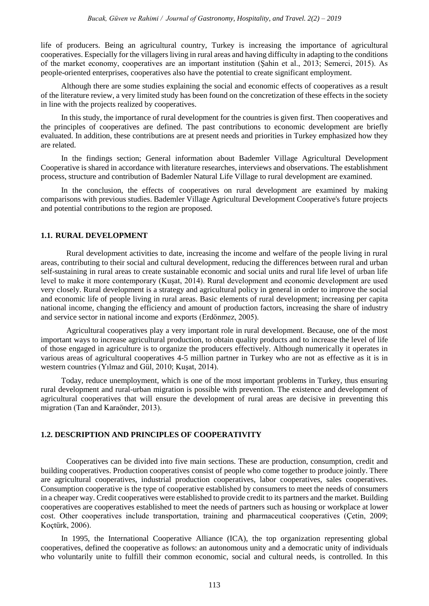life of producers. Being an agricultural country, Turkey is increasing the importance of agricultural cooperatives. Especially for the villagers living in rural areas and having difficulty in adapting to the conditions of the market economy, cooperatives are an important institution (Şahin et al., 2013; Semerci, 2015). As people-oriented enterprises, cooperatives also have the potential to create significant employment.

Although there are some studies explaining the social and economic effects of cooperatives as a result of the literature review, a very limited study has been found on the concretization of these effects in the society in line with the projects realized by cooperatives.

In this study, the importance of rural development for the countries is given first. Then cooperatives and the principles of cooperatives are defined. The past contributions to economic development are briefly evaluated. In addition, these contributions are at present needs and priorities in Turkey emphasized how they are related.

In the findings section; General information about Bademler Village Agricultural Development Cooperative is shared in accordance with literature researches, interviews and observations. The establishment process, structure and contribution of Bademler Natural Life Village to rural development are examined.

In the conclusion, the effects of cooperatives on rural development are examined by making comparisons with previous studies. Bademler Village Agricultural Development Cooperative's future projects and potential contributions to the region are proposed.

#### **1.1. RURAL DEVELOPMENT**

Rural development activities to date, increasing the income and welfare of the people living in rural areas, contributing to their social and cultural development, reducing the differences between rural and urban self-sustaining in rural areas to create sustainable economic and social units and rural life level of urban life level to make it more contemporary (Kuşat, 2014). Rural development and economic development are used very closely. Rural development is a strategy and agricultural policy in general in order to improve the social and economic life of people living in rural areas. Basic elements of rural development; increasing per capita national income, changing the efficiency and amount of production factors, increasing the share of industry and service sector in national income and exports (Erdönmez, 2005).

Agricultural cooperatives play a very important role in rural development. Because, one of the most important ways to increase agricultural production, to obtain quality products and to increase the level of life of those engaged in agriculture is to organize the producers effectively. Although numerically it operates in various areas of agricultural cooperatives 4-5 million partner in Turkey who are not as effective as it is in western countries (Yılmaz and Gül, 2010; Kuşat, 2014).

Today, reduce unemployment, which is one of the most important problems in Turkey, thus ensuring rural development and rural-urban migration is possible with prevention. The existence and development of agricultural cooperatives that will ensure the development of rural areas are decisive in preventing this migration (Tan and Karaönder, 2013).

#### **1.2. DESCRIPTION AND PRINCIPLES OF COOPERATIVITY**

Cooperatives can be divided into five main sections. These are production, consumption, credit and building cooperatives. Production cooperatives consist of people who come together to produce jointly. There are agricultural cooperatives, industrial production cooperatives, labor cooperatives, sales cooperatives. Consumption cooperative is the type of cooperative established by consumers to meet the needs of consumers in a cheaper way. Credit cooperatives were established to provide credit to its partners and the market. Building cooperatives are cooperatives established to meet the needs of partners such as housing or workplace at lower cost. Other cooperatives include transportation, training and pharmaceutical cooperatives (Çetin, 2009; Koçtürk, 2006).

In 1995, the International Cooperative Alliance (ICA), the top organization representing global cooperatives, defined the cooperative as follows: an autonomous unity and a democratic unity of individuals who voluntarily unite to fulfill their common economic, social and cultural needs, is controlled. In this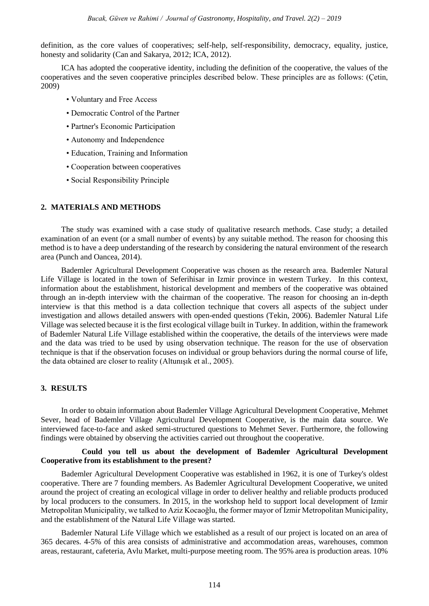definition, as the core values of cooperatives; self-help, self-responsibility, democracy, equality, justice, honesty and solidarity (Can and Sakarya, 2012; ICA, 2012).

ICA has adopted the cooperative identity, including the definition of the cooperative, the values of the cooperatives and the seven cooperative principles described below. These principles are as follows: (Çetin, 2009)

- Voluntary and Free Access
- Democratic Control of the Partner
- Partner's Economic Participation
- Autonomy and Independence
- Education, Training and Information
- Cooperation between cooperatives
- Social Responsibility Principle

#### **2. MATERIALS AND METHODS**

The study was examined with a case study of qualitative research methods. Case study; a detailed examination of an event (or a small number of events) by any suitable method. The reason for choosing this method is to have a deep understanding of the research by considering the natural environment of the research area (Punch and Oancea, 2014).

Bademler Agricultural Development Cooperative was chosen as the research area. Bademler Natural Life Village is located in the town of Seferihisar in Izmir province in western Turkey. In this context, information about the establishment, historical development and members of the cooperative was obtained through an in-depth interview with the chairman of the cooperative. The reason for choosing an in-depth interview is that this method is a data collection technique that covers all aspects of the subject under investigation and allows detailed answers with open-ended questions (Tekin, 2006). Bademler Natural Life Village was selected because it is the first ecological village built in Turkey. In addition, within the framework of Bademler Natural Life Village established within the cooperative, the details of the interviews were made and the data was tried to be used by using observation technique. The reason for the use of observation technique is that if the observation focuses on individual or group behaviors during the normal course of life, the data obtained are closer to reality (Altunışık et al., 2005).

#### **3. RESULTS**

In order to obtain information about Bademler Village Agricultural Development Cooperative, Mehmet Sever, head of Bademler Village Agricultural Development Cooperative, is the main data source. We interviewed face-to-face and asked semi-structured questions to Mehmet Sever. Furthermore, the following findings were obtained by observing the activities carried out throughout the cooperative.

#### **Could you tell us about the development of Bademler Agricultural Development Cooperative from its establishment to the present?**

Bademler Agricultural Development Cooperative was established in 1962, it is one of Turkey's oldest cooperative. There are 7 founding members. As Bademler Agricultural Development Cooperative, we united around the project of creating an ecological village in order to deliver healthy and reliable products produced by local producers to the consumers. In 2015, in the workshop held to support local development of Izmir Metropolitan Municipality, we talked to Aziz Kocaoğlu, the former mayor of Izmir Metropolitan Municipality, and the establishment of the Natural Life Village was started.

Bademler Natural Life Village which we established as a result of our project is located on an area of 365 decares. 4-5% of this area consists of administrative and accommodation areas, warehouses, common areas, restaurant, cafeteria, Avlu Market, multi-purpose meeting room. The 95% area is production areas. 10%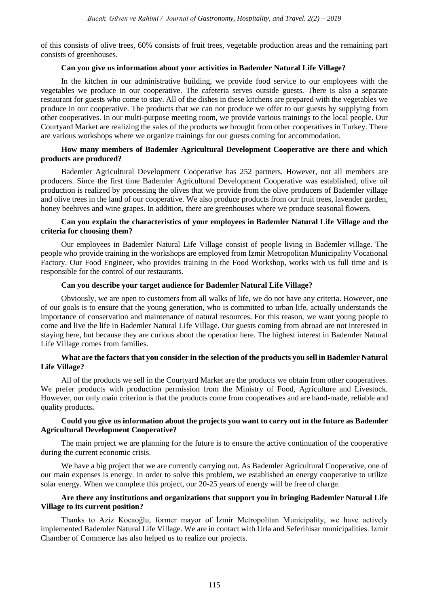of this consists of olive trees, 60% consists of fruit trees, vegetable production areas and the remaining part consists of greenhouses.

## **Can you give us information about your activities in Bademler Natural Life Village?**

In the kitchen in our administrative building, we provide food service to our employees with the vegetables we produce in our cooperative. The cafeteria serves outside guests. There is also a separate restaurant for guests who come to stay. All of the dishes in these kitchens are prepared with the vegetables we produce in our cooperative. The products that we can not produce we offer to our guests by supplying from other cooperatives. In our multi-purpose meeting room, we provide various trainings to the local people. Our Courtyard Market are realizing the sales of the products we brought from other cooperatives in Turkey. There are various workshops where we organize trainings for our guests coming for accommodation.

# **How many members of Bademler Agricultural Development Cooperative are there and which products are produced?**

Bademler Agricultural Development Cooperative has 252 partners. However, not all members are producers. Since the first time Bademler Agricultural Development Cooperative was established, olive oil production is realized by processing the olives that we provide from the olive producers of Bademler village and olive trees in the land of our cooperative. We also produce products from our fruit trees, lavender garden, honey beehives and wine grapes. In addition, there are greenhouses where we produce seasonal flowers.

# **Can you explain the characteristics of your employees in Bademler Natural Life Village and the criteria for choosing them?**

Our employees in Bademler Natural Life Village consist of people living in Bademler village. The people who provide training in the workshops are employed from Izmir Metropolitan Municipality Vocational Factory. Our Food Engineer, who provides training in the Food Workshop, works with us full time and is responsible for the control of our restaurants.

# **Can you describe your target audience for Bademler Natural Life Village?**

Obviously, we are open to customers from all walks of life, we do not have any criteria. However, one of our goals is to ensure that the young generation, who is committed to urban life, actually understands the importance of conservation and maintenance of natural resources. For this reason, we want young people to come and live the life in Bademler Natural Life Village. Our guests coming from abroad are not interested in staying here, but because they are curious about the operation here. The highest interest in Bademler Natural Life Village comes from families.

# **What are the factors that you consider in the selection of the products you sell in Bademler Natural Life Village?**

All of the products we sell in the Courtyard Market are the products we obtain from other cooperatives. We prefer products with production permission from the Ministry of Food, Agriculture and Livestock. However, our only main criterion is that the products come from cooperatives and are hand-made, reliable and quality products**.**

# **Could you give us information about the projects you want to carry out in the future as Bademler Agricultural Development Cooperative?**

The main project we are planning for the future is to ensure the active continuation of the cooperative during the current economic crisis.

We have a big project that we are currently carrying out. As Bademler Agricultural Cooperative, one of our main expenses is energy. In order to solve this problem, we established an energy cooperative to utilize solar energy. When we complete this project, our 20-25 years of energy will be free of charge.

# **Are there any institutions and organizations that support you in bringing Bademler Natural Life Village to its current position?**

Thanks to Aziz Kocaoğlu, former mayor of İzmir Metropolitan Municipality, we have actively implemented Bademler Natural Life Village. We are in contact with Urla and Seferihisar municipalities. Izmir Chamber of Commerce has also helped us to realize our projects.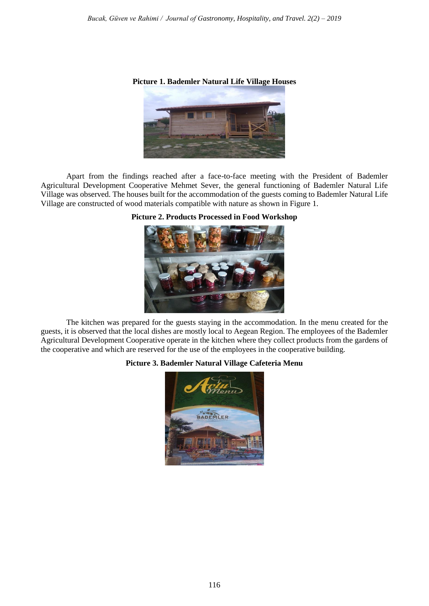#### **Picture 1. Bademler Natural Life Village Houses**



Apart from the findings reached after a face-to-face meeting with the President of Bademler Agricultural Development Cooperative Mehmet Sever, the general functioning of Bademler Natural Life Village was observed. The houses built for the accommodation of the guests coming to Bademler Natural Life Village are constructed of wood materials compatible with nature as shown in Figure 1.

# **Picture 2. Products Processed in Food Workshop**



The kitchen was prepared for the guests staying in the accommodation. In the menu created for the guests, it is observed that the local dishes are mostly local to Aegean Region. The employees of the Bademler Agricultural Development Cooperative operate in the kitchen where they collect products from the gardens of the cooperative and which are reserved for the use of the employees in the cooperative building.

#### **Picture 3. Bademler Natural Village Cafeteria Menu**

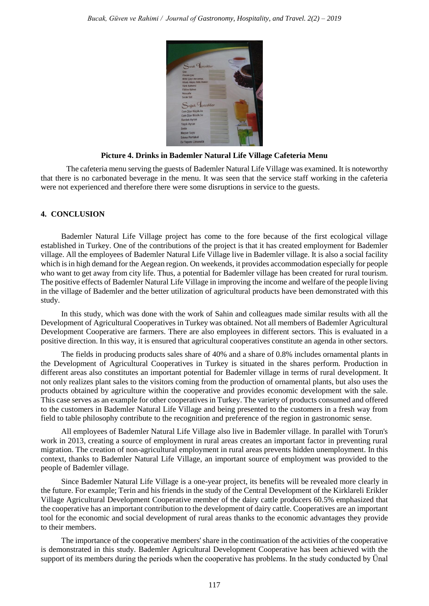

**Picture 4. Drinks in Bademler Natural Life Village Cafeteria Menu**

The cafeteria menu serving the guests of Bademler Natural Life Village was examined. It is noteworthy that there is no carbonated beverage in the menu. It was seen that the service staff working in the cafeteria were not experienced and therefore there were some disruptions in service to the guests.

# **4. CONCLUSION**

Bademler Natural Life Village project has come to the fore because of the first ecological village established in Turkey. One of the contributions of the project is that it has created employment for Bademler village. All the employees of Bademler Natural Life Village live in Bademler village. It is also a social facility which is in high demand for the Aegean region. On weekends, it provides accommodation especially for people who want to get away from city life. Thus, a potential for Bademler village has been created for rural tourism. The positive effects of Bademler Natural Life Village in improving the income and welfare of the people living in the village of Bademler and the better utilization of agricultural products have been demonstrated with this study.

In this study, which was done with the work of Sahin and colleagues made similar results with all the Development of Agricultural Cooperatives in Turkey was obtained. Not all members of Bademler Agricultural Development Cooperative are farmers. There are also employees in different sectors. This is evaluated in a positive direction. In this way, it is ensured that agricultural cooperatives constitute an agenda in other sectors.

The fields in producing products sales share of 40% and a share of 0.8% includes ornamental plants in the Development of Agricultural Cooperatives in Turkey is situated in the shares perform. Production in different areas also constitutes an important potential for Bademler village in terms of rural development. It not only realizes plant sales to the visitors coming from the production of ornamental plants, but also uses the products obtained by agriculture within the cooperative and provides economic development with the sale. This case serves as an example for other cooperatives in Turkey. The variety of products consumed and offered to the customers in Bademler Natural Life Village and being presented to the customers in a fresh way from field to table philosophy contribute to the recognition and preference of the region in gastronomic sense.

All employees of Bademler Natural Life Village also live in Bademler village. In parallel with Torun's work in 2013, creating a source of employment in rural areas creates an important factor in preventing rural migration. The creation of non-agricultural employment in rural areas prevents hidden unemployment. In this context, thanks to Bademler Natural Life Village, an important source of employment was provided to the people of Bademler village.

Since Bademler Natural Life Village is a one-year project, its benefits will be revealed more clearly in the future. For example; Terin and his friends in the study of the Central Development of the Kirklareli Erikler Village Agricultural Development Cooperative member of the dairy cattle producers 60.5% emphasized that the cooperative has an important contribution to the development of dairy cattle. Cooperatives are an important tool for the economic and social development of rural areas thanks to the economic advantages they provide to their members.

The importance of the cooperative members' share in the continuation of the activities of the cooperative is demonstrated in this study. Bademler Agricultural Development Cooperative has been achieved with the support of its members during the periods when the cooperative has problems. In the study conducted by Ünal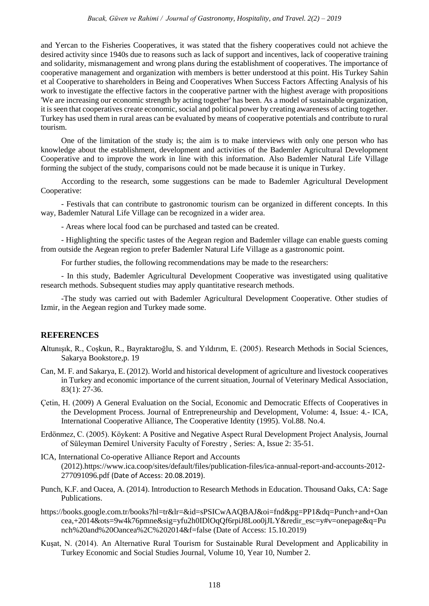and Yercan to the Fisheries Cooperatives, it was stated that the fishery cooperatives could not achieve the desired activity since 1940s due to reasons such as lack of support and incentives, lack of cooperative training and solidarity, mismanagement and wrong plans during the establishment of cooperatives. The importance of cooperative management and organization with members is better understood at this point. His Turkey Sahin et al Cooperative to shareholders in Being and Cooperatives When Success Factors Affecting Analysis of his work to investigate the effective factors in the cooperative partner with the highest average with propositions 'We are increasing our economic strength by acting together' has been. As a model of sustainable organization, it is seen that cooperatives create economic, social and political power by creating awareness of acting together. Turkey has used them in rural areas can be evaluated by means of cooperative potentials and contribute to rural tourism.

One of the limitation of the study is; the aim is to make interviews with only one person who has knowledge about the establishment, development and activities of the Bademler Agricultural Development Cooperative and to improve the work in line with this information. Also Bademler Natural Life Village forming the subject of the study, comparisons could not be made because it is unique in Turkey.

According to the research, some suggestions can be made to Bademler Agricultural Development Cooperative:

- Festivals that can contribute to gastronomic tourism can be organized in different concepts. In this way, Bademler Natural Life Village can be recognized in a wider area.

- Areas where local food can be purchased and tasted can be created.

- Highlighting the specific tastes of the Aegean region and Bademler village can enable guests coming from outside the Aegean region to prefer Bademler Natural Life Village as a gastronomic point.

For further studies, the following recommendations may be made to the researchers:

- In this study, Bademler Agricultural Development Cooperative was investigated using qualitative research methods. Subsequent studies may apply quantitative research methods.

-The study was carried out with Bademler Agricultural Development Cooperative. Other studies of Izmir, in the Aegean region and Turkey made some.

# **REFERENCES**

- **A**ltunışık, R., Coşkun, R., Bayraktaroğlu, S. and Yıldırım, E. (2005). Research Methods in Social Sciences, Sakarya Bookstore,p. 19
- Can, M. F. and Sakarya, E. (2012). World and historical development of agriculture and livestock cooperatives in Turkey and economic importance of the current situation, Journal of Veterinary Medical Association, 83(1): 27-36.
- Çetin, H. (2009) A General Evaluation on the Social, Economic and Democratic Effects of Cooperatives in the Development Process. Journal of Entrepreneurship and Development, Volume: 4, Issue: 4.- ICA, International Cooperative Alliance, The Cooperative Identity (1995). Vol.88. No.4.
- Erdönmez, C. (2005). Köykent: A Positive and Negative Aspect Rural Development Project Analysis, Journal of Süleyman Demirel University Faculty of Forestry , Series: A, Issue 2: 35-51.
- ICA, International Co-operative Alliance Report and Accounts (2012)[.https://www.ica.coop/sites/default/files/publication-files/ica-annual-report-and-accounts-2012-](https://www.ica.coop/sites/default/files/publication-files/ica-annual-report-and-accounts-2012-277091096.pdf) [277091096.pdf](https://www.ica.coop/sites/default/files/publication-files/ica-annual-report-and-accounts-2012-277091096.pdf) (Date of Access: 20.08.2019).
- Punch, K.F. and Oacea, A. (2014). Introduction to Research Methods in Education. Thousand Oaks, CA: Sage Publications.
- [https://books.google.com.tr/books?hl=tr&lr=&id=sPSICwAAQBAJ&oi=fnd&pg=PP1&dq=Punch+and+Oan](https://books.google.com.tr/books?hl=tr&lr=&id=sPSICwAAQBAJ&oi=fnd&pg=PP1&dq=Punch+and+Oancea,+2014&ots=9w4k76pmne&sig=yfu2h0IDlOqQf6rpiJ8Loo0jJLY&redir_esc=y#v=onepage&q=Punch%20and%20Oancea%2C%202014&f=false) [cea,+2014&ots=9w4k76pmne&sig=yfu2h0IDlOqQf6rpiJ8Loo0jJLY&redir\\_esc=y#v=onepage&q=Pu](https://books.google.com.tr/books?hl=tr&lr=&id=sPSICwAAQBAJ&oi=fnd&pg=PP1&dq=Punch+and+Oancea,+2014&ots=9w4k76pmne&sig=yfu2h0IDlOqQf6rpiJ8Loo0jJLY&redir_esc=y#v=onepage&q=Punch%20and%20Oancea%2C%202014&f=false) [nch%20and%20Oancea%2C%202014&f=false](https://books.google.com.tr/books?hl=tr&lr=&id=sPSICwAAQBAJ&oi=fnd&pg=PP1&dq=Punch+and+Oancea,+2014&ots=9w4k76pmne&sig=yfu2h0IDlOqQf6rpiJ8Loo0jJLY&redir_esc=y#v=onepage&q=Punch%20and%20Oancea%2C%202014&f=false) (Date of Access: 15.10.2019)
- Kuşat, N. (2014). An Alternative Rural Tourism for Sustainable Rural Development and Applicability in Turkey Economic and Social Studies Journal, Volume 10, Year 10, Number 2.